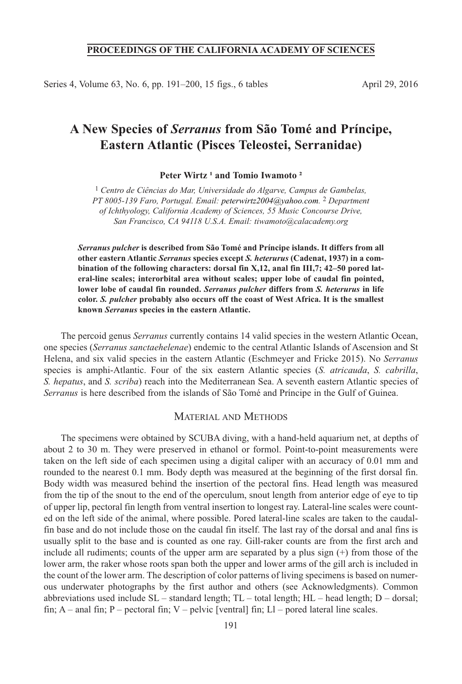## **PROCEEDINGS OF THE CALIFORNIA ACADEMY OF SCIENCES**

Series 4, Volume 63, No. 6, pp. 191–200, 15 figs., 6 tables April 29, 2016

# **A New Species of** *Serranus* **from São Tomé and Príncipe, Eastern Atlantic (Pisces Teleostei, Serranidae)**

**Peter Wirtz ¹ and Tomio Iwamoto ²**

1 *Centro de Ciências do Mar, Universidade do Algarve, Campus de Gambelas, PT 8005-139 Faro, Portugal. Email: peterwirtz2004@yahoo.com.* 2 *Department of Ichthyology, California Academy of Sciences, 55 Music Concourse Drive, San Francisco, CA 94118 U.S.A. Email: tiwamoto@calacademy.org*

*Serranus pulcher* **is described from São Tomé and Príncipe islands. It differs from all other eastern Atlantic** *Serranus* **species except** *S. heterurus* **(Cadenat, 1937) in a combination of the following characters: dorsal fin X,12, anal fin III,7; 42–50 pored lateral-line scales; interorbital area without scales; upper lobe of caudal fin pointed, lower lobe of caudal fin rounded.** *Serranus pulcher* **differs from** *S. heterurus* **in life color.** *S. pulcher* **probably also occurs off the coast of West Africa. It is the smallest known** *Serranus* **species in the eastern Atlantic.**

The percoid genus *Serranus* currently contains 14 valid species in the western Atlantic Ocean, one species (*Serranus sanctaehelenae*) endemic to the central Atlantic Islands of Ascension and St Helena, and six valid species in the eastern Atlantic (Eschmeyer and Fricke 2015). No *Serranus* species is amphi-Atlantic. Four of the six eastern Atlantic species (*S. atricauda*, *S. cabrilla*, *S. hepatus*, and *S. scriba*) reach into the Mediterranean Sea. A seventh eastern Atlantic species of *Serranus* is here described from the islands of São Tomé and Príncipe in the Gulf of Guinea.

### MATERIAL AND METHODS

The specimens were obtained by SCUBA diving, with a hand-held aquarium net, at depths of about 2 to 30 m. They were preserved in ethanol or formol. Point-to-point measurements were taken on the left side of each specimen using a digital caliper with an accuracy of 0.01 mm and rounded to the nearest 0.1 mm. Body depth was measured at the beginning of the first dorsal fin. Body width was measured behind the insertion of the pectoral fins. Head length was measured from the tip of the snout to the end of the operculum, snout length from anterior edge of eye to tip of upper lip, pectoral fin length from ventral insertion to longest ray. lateral-line scales were counted on the left side of the animal, where possible. Pored lateral-line scales are taken to the caudalfin base and do not include those on the caudal fin itself. The last ray of the dorsal and anal fins is usually split to the base and is counted as one ray. Gill-raker counts are from the first arch and include all rudiments; counts of the upper arm are separated by a plus sign (+) from those of the lower arm, the raker whose roots span both the upper and lower arms of the gill arch is included in the count of the lower arm. The description of color patterns of living specimens is based on numerous underwater photographs by the first author and others (see Acknowledgments). Common abbreviations used include  $SL$  – standard length;  $TL$  – total length;  $HL$  – head length;  $D$  – dorsal; fin;  $A$  – anal fin;  $P$  – pectoral fin;  $V$  – pelvic [ventral] fin;  $L1$  – pored lateral line scales.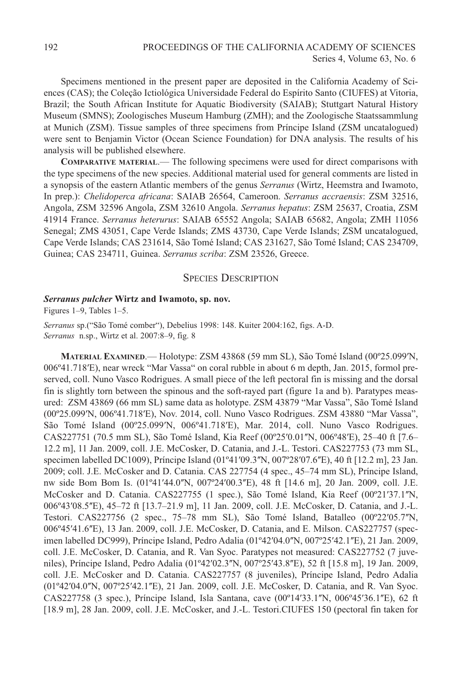Specimens mentioned in the present paper are deposited in the California Academy of Sciences (CAS); the Coleção Ictiológica Universidade Federal do Espírito Santo (CIUFES) at Vitoria, Brazil; the South African Institute for Aquatic Biodiversity (SAIAB); Stuttgart Natural History Museum (SMNS); Zoologisches Museum Hamburg (ZMH); and the Zoologische Staatssammlung at Munich (ZSM). Tissue samples of three specimens from Príncipe Island (ZSM uncatalogued) were sent to Benjamin Victor (Ocean Science Foundation) for DNA analysis. The results of his analysis will be published elsewhere.

**COMPARATIVE MATERIAL**.— The following specimens were used for direct comparisons with the type specimens of the new species. Additional material used for general comments are listed in a synopsis of the eastern Atlantic members of the genus *Serranus* (Wirtz, Heemstra and Iwamoto, In prep.): *Chelidoperca africana*: SAIAB 26564, Cameroon. *Serranus accraensis*: ZSM 32516, Angola, ZSM 32596 Angola, ZSM 32610 Angola. *Serranus hepatus*: ZSM 25637, Croatia, ZSM 41914 France. *Serranus heterurus*: SAIAB 65552 Angola; SAIAB 65682, Angola; ZMH 11056 Senegal; ZMS 43051, Cape Verde Islands; ZMS 43730, Cape Verde Islands; ZSM uncatalogued, Cape Verde Islands; CAS 231614, São Tomé Island; CAS 231627, São Tomé Island; CAS 234709, Guinea; CAS 234711, Guinea. *Serranus scriba*: ZSM 23526, Greece.

## **SPECIES DESCRIPTION**

#### *Serranus pulcher* **Wirtz and Iwamoto, sp. nov.**

Figures 1–9, Tables 1–5.

Serranus sp.("São Tomé comber"), Debelius 1998: 148. Kuiter 2004:162, figs. A-D. *Serranus* n.sp., Wirtz et al. 2007:8–9, fig. 8

**MATERIAL EXAMINED**.— Holotype: ZSM 43868 (59 mm Sl), São Tomé Island (00º25.099ʹN, 006º41.718ʹE), near wreck "Mar Vassa" on coral rubble in about 6 m depth, Jan. 2015, formol preserved, coll. Nuno Vasco Rodrigues. A small piece of the left pectoral fin is missing and the dorsal fin is slightly torn between the spinous and the soft-rayed part (figure 1a and b). Paratypes measured: ZSM 43869 (66 mm Sl) same data as holotype. ZSM 43879 "Mar Vassa", São Tomé Island (00º25.099ʹN, 006º41.718ʹE), Nov. 2014, coll. Nuno Vasco rodrigues. ZSM 43880 "Mar Vassa", São Tomé Island (00°25.099′N, 006°41.718′E), Mar. 2014, coll. Nuno Vasco Rodrigues. CAS227751 (70.5 mm SL), São Tomé Island, Kia Reef (00°25′0.01″N, 006°48′E), 25–40 ft [7.6– 12.2 m], 11 Jan. 2009, coll. J.E. McCosker, d. Catania, and J.-l. Testori. CAS227753 (73 mm Sl, specimen labelled DC1009), Príncipe Island (01°41'09.3"N, 007°28'07.6"E), 40 ft [12.2 m], 23 Jan. 2009; coll. J.E. McCosker and D. Catania. CAS 227754 (4 spec., 45–74 mm SL), Príncipe Island, nw side Bom Bom Is. (01°41′44.0″N, 007°24′00.3″E), 48 ft [14.6 m], 20 Jan. 2009, coll. J.E. McCosker and D. Catania. CAS227755 (1 spec.), São Tomé Island, Kia Reef (00°21′37.1″N, 006°43′08.5″E), 45–72 ft [13.7–21.9 m], 11 Jan. 2009, coll. J.E. McCosker, D. Catania, and J.-L. Testori. CAS227756 (2 spec., 75–78 mm SL), São Tomé Island, Batalleo (00°22′05.7″N, 006°45'41.6"E), 13 Jan. 2009, coll. J.E. McCosker, D. Catania, and E. Milson. CAS227757 (specimen labelled DC999), Príncipe Island, Pedro Adalia (01°42′04.0″N, 007°25′42.1″E), 21 Jan. 2009, coll. J.E. McCosker, D. Catania, and R. Van Syoc. Paratypes not measured: CAS227752 (7 juveniles), Príncipe Island, Pedro Adalia (01º42ʹ02.3ʺN, 007º25ʹ43.8ʺE), 52 ft [15.8 m], 19 Jan. 2009, coll. J.E. McCosker and D. Catania. CAS227757 (8 juveniles), Príncipe Island, Pedro Adalia (01°42′04.0″N, 007°25′42.1″E), 21 Jan. 2009, coll. J.E. McCosker, D. Catania, and R. Van Syoc. CAS227758 (3 spec.), Príncipe Island, Isla Santana, cave (00º14ʹ33.1ʺN, 006º45ʹ36.1ʺE), 62 ft [18.9 m], 28 Jan. 2009, coll. J.E. McCosker, and J.-l. Testori.CIUFES 150 (pectoral fin taken for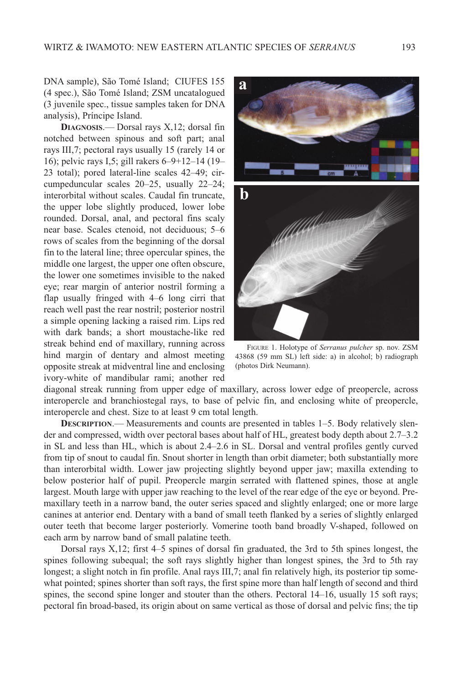DNA sample), São Tomé Island; CIUFES 155 (4 spec.), São Tomé Island; ZSM uncatalogued (3 juvenile spec., tissue samples taken for DNA analysis), Príncipe Island.

DIAGNOSIS.<sup>—</sup> Dorsal rays X,12; dorsal fin notched between spinous and soft part; anal rays III,7; pectoral rays usually 15 (rarely 14 or 16); pelvic rays I,5; gill rakers 6–9+12–14 (19– 23 total); pored lateral-line scales 42–49; circumpeduncular scales 20–25, usually 22–24; interorbital without scales. Caudal fin truncate, the upper lobe slightly produced, lower lobe rounded. Dorsal, anal, and pectoral fins scaly near base. Scales ctenoid, not deciduous; 5–6 rows of scales from the beginning of the dorsal fin to the lateral line; three opercular spines, the middle one largest, the upper one often obscure, the lower one sometimes invisible to the naked eye; rear margin of anterior nostril forming a flap usually fringed with 4–6 long cirri that reach well past the rear nostril; posterior nostril a simple opening lacking a raised rim. lips red with dark bands; a short moustache-like red streak behind end of maxillary, running across hind margin of dentary and almost meeting opposite streak at midventral line and enclosing ivory-white of mandibular rami; another red



FIGUrE 1. Holotype of *Serranus pulcher* sp. nov. ZSM 43868 (59 mm Sl) left side: a) in alcohol; b) radiograph (photos Dirk Neumann).

diagonal streak running from upper edge of maxillary, across lower edge of preopercle, across interopercle and branchiostegal rays, to base of pelvic fin, and enclosing white of preopercle, interopercle and chest. Size to at least 9 cm total length.

**DESCRIPTION.**— Measurements and counts are presented in tables 1–5. Body relatively slender and compressed, width over pectoral bases about half of Hl, greatest body depth about 2.7–3.2 in SL and less than HL, which is about 2.4–2.6 in SL. Dorsal and ventral profiles gently curved from tip of snout to caudal fin. Snout shorter in length than orbit diameter; both substantially more than interorbital width. lower jaw projecting slightly beyond upper jaw; maxilla extending to below posterior half of pupil. Preopercle margin serrated with flattened spines, those at angle largest. Mouth large with upper jaw reaching to the level of the rear edge of the eye or beyond. Premaxillary teeth in a narrow band, the outer series spaced and slightly enlarged; one or more large canines at anterior end. Dentary with a band of small teeth flanked by a series of slightly enlarged outer teeth that become larger posteriorly. Vomerine tooth band broadly V-shaped, followed on each arm by narrow band of small palatine teeth.

Dorsal rays  $X$ ,12; first  $4-5$  spines of dorsal fin graduated, the 3rd to 5th spines longest, the spines following subequal; the soft rays slightly higher than longest spines, the 3rd to 5th ray longest; a slight notch in fin profile. Anal rays III,7; anal fin relatively high, its posterior tip somewhat pointed; spines shorter than soft rays, the first spine more than half length of second and third spines, the second spine longer and stouter than the others. Pectoral 14–16, usually 15 soft rays; pectoral fin broad-based, its origin about on same vertical as those of dorsal and pelvic fins; the tip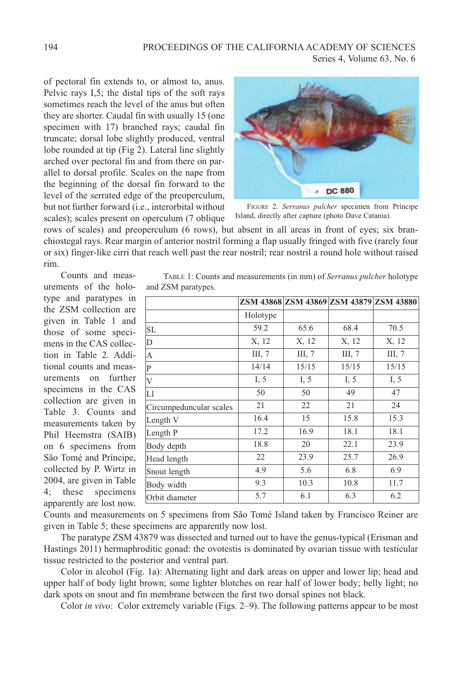of pectoral fin extends to, or almost to, anus. Pelvic rays I,5; the distal tips of the soft rays sometimes reach the level of the anus but often they are shorter. Caudal fin with usually 15 (one specimen with 17) branched rays; caudal fin truncate; dorsal lobe slightly produced, ventral lobe rounded at tip (Fig 2). Lateral line slightly arched over pectoral fin and from there on parallel to dorsal profile. Scales on the nape from the beginning of the dorsal fin forward to the level of the serrated edge of the preoperculum, but not further forward (i.e., interorbital without scales); scales present on operculum (7 oblique



FIGUrE 2. *Serranus pulcher* specimen from Príncipe Island, directly after capture (photo Dave Catania).

rows of scales) and preoperculum (6 rows), but absent in all areas in front of eyes; six branchiostegal rays. Rear margin of anterior nostril forming a flap usually fringed with five (rarely four or six) finger-like cirri that reach well past the rear nostril; rear nostril a round hole without raised rim.

Counts and measurements of the holotype and paratypes in the ZSM collection are given in Table 1 and those of some specimens in the CAS collection in Table 2. Additional counts and measurements on further specimens in the CAS collection are given in Table 3. Counts and measurements taken by Phil Heemstra (SAIB) on 6 specimens from São Tomé and Príncipe, collected by P. Wirtz in 2004, are given in Table 4; these specimens apparently are lost now.

| TABLE 1: Counts and measurements (in mm) of <i>Serranus pulcher</i> holotype |  |  |  |
|------------------------------------------------------------------------------|--|--|--|
| and ZSM paratypes.                                                           |  |  |  |

|                         |          |          |        | ZSM 43868 ZSM 43869 ZSM 43879 ZSM 43880 |
|-------------------------|----------|----------|--------|-----------------------------------------|
|                         | Holotype |          |        |                                         |
| <b>SL</b>               | 59.2     | 65.6     | 68.4   | 70.5                                    |
| D                       | X, 12    | X, 12    | X, 12  | X, 12                                   |
| А                       | III, $7$ | III, $7$ | III, 7 | III, 7                                  |
| P                       | 14/14    | 15/15    | 15/15  | 15/15                                   |
| V                       | I, 5     | I, 5     | I, 5   | I, $5$                                  |
| Ll                      | 50       | 50       | 49     | 47                                      |
| Circumpeduncular scales | 21       | 22       | 21     | 24                                      |
| Length V                | 16.4     | 15       | 15.8   | 15.3                                    |
| Length P                | 17.2     | 16.9     | 18.1   | 18.1                                    |
| Body depth              | 18.8     | 20       | 22.1   | 23.9                                    |
| Head length             | 22       | 23.9     | 25.7   | 26.9                                    |
| Snout length            | 4.9      | 5.6      | 6.8    | 6.9                                     |
| Body width              | 9.3      | 10.3     | 10.8   | 11.7                                    |
| Orbit diameter          | 5.7      | 6.1      | 6.3    | 6.2                                     |

Counts and measurements on 5 specimens from São Tomé Island taken by Francisco Reiner are given in Table 5; these specimens are apparently now lost.

The paratype ZSM 43879 was dissected and turned out to have the genus-typical (Erisman and Hastings 2011) hermaphroditic gonad: the ovotestis is dominated by ovarian tissue with testicular tissue restricted to the posterior and ventral part.

Color in alcohol (Fig. 1a): Alternating light and dark areas on upper and lower lip; head and upper half of body light brown; some lighter blotches on rear half of lower body; belly light; no dark spots on snout and fin membrane between the first two dorsal spines not black.

Color *in vivo*: Color extremely variable (Figs. 2–9). The following patterns appear to be most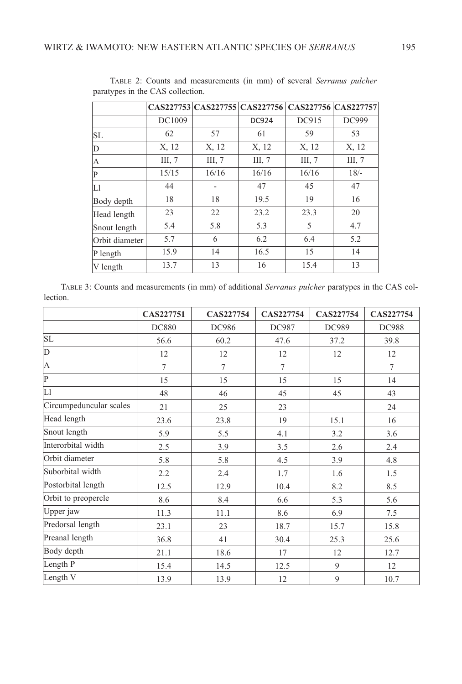|          |        |          | CAS227756 CAS227757 |                               |
|----------|--------|----------|---------------------|-------------------------------|
| DC1009   |        | DC924    | DC915               | DC999                         |
| 62       | 57     | 61       | 59                  | 53                            |
| X, 12    | X, 12  | X, 12    | X, 12               | X, 12                         |
| III, $7$ | III, 7 | III, $7$ | III, $7$            | III, 7                        |
| 15/15    | 16/16  | 16/16    | 16/16               | $18/-$                        |
| 44       |        | 47       | 45                  | 47                            |
| 18       | 18     | 19.5     | 19                  | 16                            |
| 23       | 22     | 23.2     | 23.3                | 20                            |
| 5.4      | 5.8    | 5.3      | 5                   | 4.7                           |
| 5.7      | 6      | 6.2      | 6.4                 | 5.2                           |
| 15.9     | 14     | 16.5     | 15                  | 14                            |
| 13.7     | 13     | 16       | 15.4                | 13                            |
|          |        |          |                     | CAS227753 CAS227755 CAS227756 |

TABlE 2: Counts and measurements (in mm) of several *Serranus pulcher* paratypes in the CAS collection.

TABlE 3: Counts and measurements (in mm) of additional *Serranus pulcher* paratypes in the CAS collection.

|                         | CAS227751    | CAS227754 | CAS227754      | CAS227754 | CAS227754    |
|-------------------------|--------------|-----------|----------------|-----------|--------------|
|                         | <b>DC880</b> | DC986     | DC987          | DC989     | <b>DC988</b> |
| SL                      | 56.6         | 60.2      | 47.6           | 37.2      | 39.8         |
| D                       | 12           | 12        | 12             | 12        | 12           |
| A                       | $\tau$       | 7         | $\overline{7}$ |           | $\tau$       |
| $\vert$ P               | 15           | 15        | 15             | 15        | 14           |
| Ll                      | 48           | 46        | 45             | 45        | 43           |
| Circumpeduncular scales | 21           | 25        | 23             |           | 24           |
| Head length             | 23.6         | 23.8      | 19             | 15.1      | 16           |
| Snout length            | 5.9          | 5.5       | 4.1            | 3.2       | 3.6          |
| Interorbital width      | 2.5          | 3.9       | 3.5            | 2.6       | 2.4          |
| Orbit diameter          | 5.8          | 5.8       | 4.5            | 3.9       | 4.8          |
| Suborbital width        | 2.2          | 2.4       | 1.7            | 1.6       | 1.5          |
| Postorbital length      | 12.5         | 12.9      | 10.4           | 8.2       | 8.5          |
| Orbit to preopercle     | 8.6          | 8.4       | 6.6            | 5.3       | 5.6          |
| Upper jaw               | 11.3         | 11.1      | 8.6            | 6.9       | 7.5          |
| Predorsal length        | 23.1         | 23        | 18.7           | 15.7      | 15.8         |
| Preanal length          | 36.8         | 41        | 30.4           | 25.3      | 25.6         |
| Body depth              | 21.1         | 18.6      | 17             | 12        | 12.7         |
| Length P                | 15.4         | 14.5      | 12.5           | 9         | 12           |
| Length V                | 13.9         | 13.9      | 12             | 9         | 10.7         |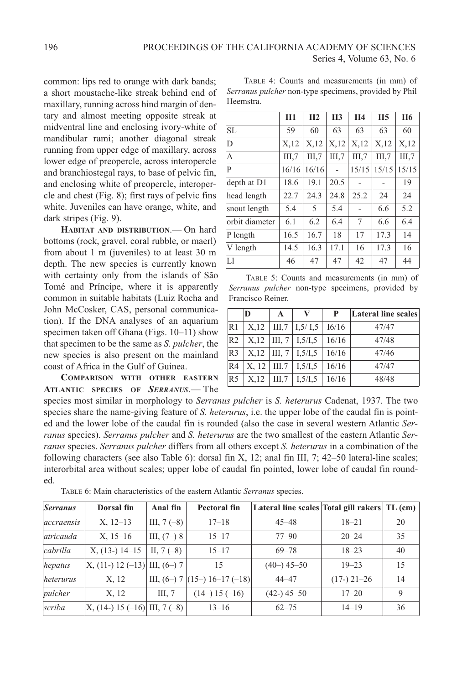common: lips red to orange with dark bands; a short moustache-like streak behind end of maxillary, running across hind margin of dentary and almost meeting opposite streak at midventral line and enclosing ivory-white of mandibular rami; another diagonal streak running from upper edge of maxillary, across lower edge of preopercle, across interopercle and branchiostegal rays, to base of pelvic fin, and enclosing white of preopercle, interopercle and chest (Fig. 8); first rays of pelvic fins white. Juveniles can have orange, white, and dark stripes (Fig. 9).

**HABITAT AND DISTRIBUTION**.— On hard bottoms (rock, gravel, coral rubble, or maerl) from about 1 m (juveniles) to at least 30 m depth. The new species is currently known with certainty only from the islands of São Tomé and Príncipe, where it is apparently common in suitable habitats (Luiz Rocha and John McCosker, CAS, personal communication). If the DNA analyses of an aquarium specimen taken off Ghana (Figs. 10-11) show that specimen to be the same as *S. pulcher*, the new species is also present on the mainland coast of Africa in the Gulf of Guinea.

**COMPARISON WITH OTHER EASTERN ATLANTIC SPECIES OF** *SERRANUS*.— The

TABlE 4: Counts and measurements (in mm) of *Serranus pulcher* non-type specimens, provided by Phil Heemstra.

|                | H1    | H <sub>2</sub> | H3    | H <sub>4</sub> | H <sub>5</sub> | H <sub>6</sub> |
|----------------|-------|----------------|-------|----------------|----------------|----------------|
| SL             | 59    | 60             | 63    | 63             | 63             | 60             |
| D              | X,12  | X,12           | X,12  | X,12           | X,12           | X,12           |
| A              | III.7 | III.7          | III.7 | III.7          | III.7          | III.7          |
| P              | 16/16 | 16/16          |       | 15/15          | 15/15          | 15/15          |
| depth at D1    | 18.6  | 19.1           | 20.5  |                |                | 19             |
| head length    | 22.7  | 24.3           | 24.8  | 25.2           | 24             | 24             |
| snout length   | 5.4   | 5              | 5.4   |                | 6.6            | 5.2            |
| orbit diameter | 6.1   | 6.2            | 6.4   | 7              | 6.6            | 6.4            |
| P length       | 16.5  | 16.7           | 18    | 17             | 17.3           | 14             |
| V length       | 14.5  | 16.3           | 17.1  | 16             | 17.3           | 16             |
| L1             | 46    | 47             | 47    | 42             | 47             | 44             |

TABlE 5: Counts and measurements (in mm) of *Serranus pulcher* non-type specimens, provided by Francisco Reiner.

|                | D     | A        |           | P     | Lateral line scales |
|----------------|-------|----------|-----------|-------|---------------------|
| R1             | X,12  | III.7    | I.5/ I.5  | I6/16 | 47/47               |
| R <sub>2</sub> | X,12  | III, $7$ | I, 5/I, 5 | 16/16 | 47/48               |
| R <sub>3</sub> | X,12  | III, $7$ | I, 5/I, 5 | 16/16 | 47/46               |
| R4             | X, 12 | III.7    | I, 5/I, 5 | 16/16 | 47/47               |
| R <sub>5</sub> | X,12  | III.7    | I, 5/I, 5 | 16/16 | 48/48               |

species most similar in morphology to *Serranus pulcher* is *S. heterurus* Cadenat, 1937. The two species share the name-giving feature of *S. heterurus*, i.e. the upper lobe of the caudal fin is pointed and the lower lobe of the caudal fin is rounded (also the case in several western Atlantic *Serranus* species). *Serranus pulcher* and *S. heterurus* are the two smallest of the eastern Atlantic *Serranus* species. *Serranus pulcher* differs from all others except *S. heterurus* in a combination of the following characters (see also Table 6): dorsal fin X, 12; anal fin III, 7; 42–50 lateral-line scales; interorbital area without scales; upper lobe of caudal fin pointed, lower lobe of caudal fin rounded.

| <i>Serranus</i>   | Dorsal fin                       | Anal fin      | Pectoral fin                        | Lateral line scales Total gill rakers TL (cm) |               |    |
|-------------------|----------------------------------|---------------|-------------------------------------|-----------------------------------------------|---------------|----|
| <i>accraensis</i> | $X, 12-13$                       | III, $7(-8)$  | $17 - 18$                           | $45 - 48$                                     | $18 - 21$     | 20 |
| <i>atricauda</i>  | $X, 15-16$                       | III, $(7-)$ 8 | $15 - 17$                           | $77 - 90$                                     | $20 - 24$     | 35 |
| <i>cabrilla</i>   | $X$ , (13-) 14-15                | II, $7(-8)$   | $15 - 17$                           | $69 - 78$                                     | $18 - 23$     | 40 |
| hepatus           | $X$ , (11-) 12 (-13) III, (6-) 7 |               | 15                                  | $(40-)$ 45-50                                 | $19 - 23$     | 15 |
| heterurus         | X, 12                            |               | III, $(6-)$ 7 $(15-)$ 16-17 $(-18)$ | $44 - 47$                                     | $(17-)$ 21-26 | 14 |
| pulcher           | X, 12                            | III. 7        | $(14-) 15 (-16)$                    | $(42-)$ 45-50                                 | $17 - 20$     | 9  |
| scriba            | $X, (14-) 15 (-16)$ III, 7 (-8)  |               | $13 - 16$                           | $62 - 75$                                     | $14 - 19$     | 36 |

TABlE 6: Main characteristics of the eastern Atlantic *Serranus* species.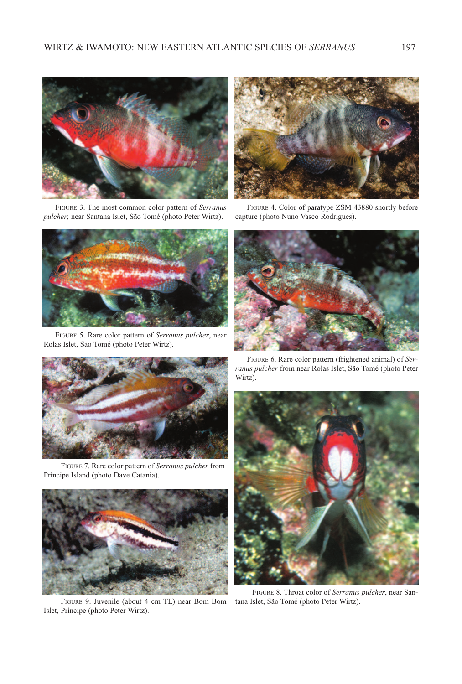

FIGUrE 3. The most common color pattern of *Serranus pulcher*; near Santana Islet, São Tomé (photo Peter Wirtz).



FIGURE 5. Rare color pattern of *Serranus pulcher*, near Rolas Islet, São Tomé (photo Peter Wirtz).



FIGURE 7. Rare color pattern of *Serranus pulcher* from Príncipe Island (photo Dave Catania).



FIGURE 9. Juvenile (about 4 cm TL) near Bom Bom Islet, Príncipe (photo Peter Wirtz).



FIGUrE 4. Color of paratype ZSM 43880 shortly before capture (photo Nuno Vasco Rodrigues).



FIGURE 6. Rare color pattern (frightened animal) of *Ser*ranus pulcher from near Rolas Islet, São Tomé (photo Peter Wirtz).



FIGUrE 8. Throat color of *Serranus pulcher*, near San-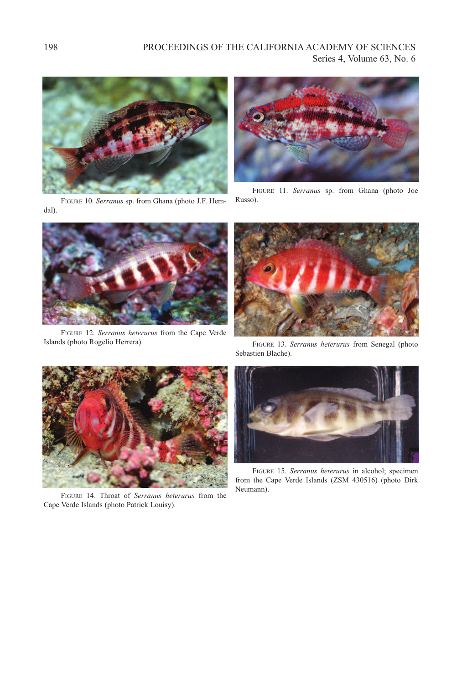

FIGUrE 10. *Serranus* sp. from Ghana (photo J.F. Hemdal).



FIGUrE 11. *Serranus* sp. from Ghana (photo Joe Russo).



FIGUrE 12. *Serranus heterurus* from the Cape Verde Islands (photo Rogelio Herrera).



FIGUrE 13. *Serranus heterurus* from Senegal (photo Sebastien Blache).



FIGURE 14. Throat of *Serranus heterurus* from the Cape Verde Islands (photo Patrick louisy).



FIGUrE 15. *Serranus heterurus* in alcohol; specimen from the Cape Verde Islands (ZSM 430516) (photo Dirk Neumann).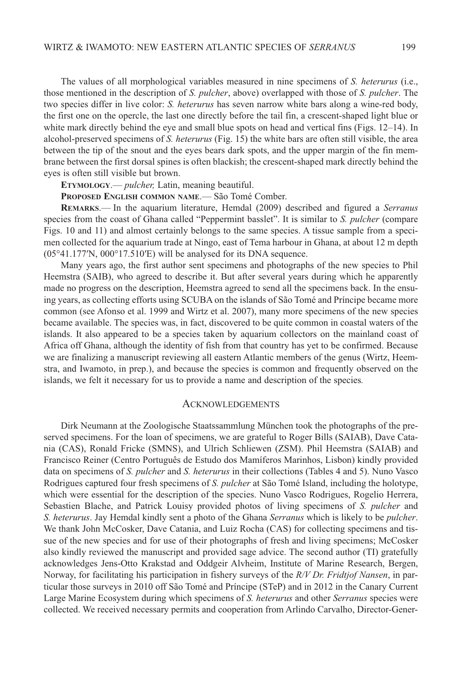The values of all morphological variables measured in nine specimens of *S. heterurus* (i.e., those mentioned in the description of *S. pulcher*, above) overlapped with those of *S. pulcher*. The two species differ in live color: *S. heterurus* has seven narrow white bars along a wine-red body, the first one on the opercle, the last one directly before the tail fin, a crescent-shaped light blue or white mark directly behind the eye and small blue spots on head and vertical fins (Figs. 12–14). In alcohol-preserved specimens of *S. heterurus* (Fig. 15) the white bars are often still visible, the area between the tip of the snout and the eyes bears dark spots, and the upper margin of the fin membrane between the first dorsal spines is often blackish; the crescent-shaped mark directly behind the eyes is often still visible but brown.

**ETYMOLOGY**.— *pulcher,* latin, meaning beautiful.

**PROPOSED ENGLISH COMMON NAME**.— São Tomé Comber.

**REMARKS**.— In the aquarium literature, Hemdal (2009) described and figured a *Serranus* species from the coast of Ghana called "Peppermint basslet". It is similar to *S. pulcher* (compare Figs. 10 and 11) and almost certainly belongs to the same species. A tissue sample from a specimen collected for the aquarium trade at Ningo, east of Tema harbour in Ghana, at about 12 m depth  $(05°41.177'N, 000°17.510'E)$  will be analysed for its DNA sequence.

Many years ago, the first author sent specimens and photographs of the new species to Phil Heemstra (SAIB), who agreed to describe it. But after several years during which he apparently made no progress on the description, Heemstra agreed to send all the specimens back. In the ensuing years, as collecting efforts using SCUBA on the islands of São Tomé and Príncipe became more common (see Afonso et al. 1999 and Wirtz et al. 2007), many more specimens of the new species became available. The species was, in fact, discovered to be quite common in coastal waters of the islands. It also appeared to be a species taken by aquarium collectors on the mainland coast of Africa off Ghana, although the identity of fish from that country has yet to be confirmed. Because we are finalizing a manuscript reviewing all eastern Atlantic members of the genus (Wirtz, Heemstra, and Iwamoto, in prep.), and because the species is common and frequently observed on the islands, we felt it necessary for us to provide a name and description of the species*.*

#### **ACKNOWLEDGEMENTS**

Dirk Neumann at the Zoologische Staatssammlung München took the photographs of the preserved specimens. For the loan of specimens, we are grateful to Roger Bills (SAIAB), Dave Catania (CAS), Ronald Fricke (SMNS), and Ulrich Schliewen (ZSM). Phil Heemstra (SAIAB) and Francisco Reiner (Centro Português de Estudo dos Mamíferos Marinhos, Lisbon) kindly provided data on specimens of *S. pulcher* and *S. heterurus* in their collections (Tables 4 and 5). Nuno Vasco Rodrigues captured four fresh specimens of *S. pulcher* at São Tomé Island, including the holotype, which were essential for the description of the species. Nuno Vasco Rodrigues, Rogelio Herrera, Sebastien Blache, and Patrick louisy provided photos of living specimens of *S. pulcher* and *S. heterurus*. Jay Hemdal kindly sent a photo of the Ghana *Serranus* which is likely to be *pulcher*. We thank John McCosker, Dave Catania, and Luiz Rocha (CAS) for collecting specimens and tissue of the new species and for use of their photographs of fresh and living specimens; McCosker also kindly reviewed the manuscript and provided sage advice. The second author (TI) gratefully acknowledges Jens-Otto Krakstad and Oddgeir Alvheim, Institute of Marine Research, Bergen, Norway, for facilitating his participation in fishery surveys of the *R/V Dr. Fridtjof Nansen*, in particular those surveys in 2010 off São Tomé and Príncipe (STeP) and in 2012 in the Canary Current large Marine Ecosystem during which specimens of *S. heterurus* and other *Serranus* species were collected. We received necessary permits and cooperation from Arlindo Carvalho, Director-Gener